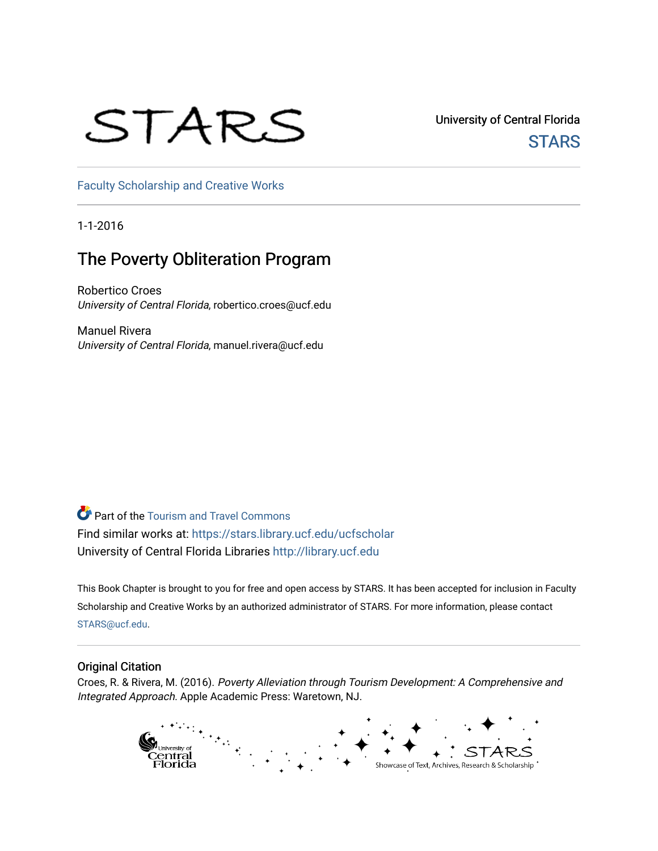# STARS

University of Central Florida **STARS** 

[Faculty Scholarship and Creative Works](https://stars.library.ucf.edu/ucfscholar) 

1-1-2016

# The Poverty Obliteration Program

Robertico Croes University of Central Florida, robertico.croes@ucf.edu

Manuel Rivera University of Central Florida, manuel.rivera@ucf.edu

**C** Part of the [Tourism and Travel Commons](http://network.bepress.com/hgg/discipline/1082?utm_source=stars.library.ucf.edu%2Fucfscholar%2F951&utm_medium=PDF&utm_campaign=PDFCoverPages) Find similar works at: <https://stars.library.ucf.edu/ucfscholar> University of Central Florida Libraries [http://library.ucf.edu](http://library.ucf.edu/) 

This Book Chapter is brought to you for free and open access by STARS. It has been accepted for inclusion in Faculty Scholarship and Creative Works by an authorized administrator of STARS. For more information, please contact [STARS@ucf.edu](mailto:STARS@ucf.edu).

#### Original Citation

Croes, R. & Rivera, M. (2016). Poverty Alleviation through Tourism Development: A Comprehensive and Integrated Approach. Apple Academic Press: Waretown, NJ.

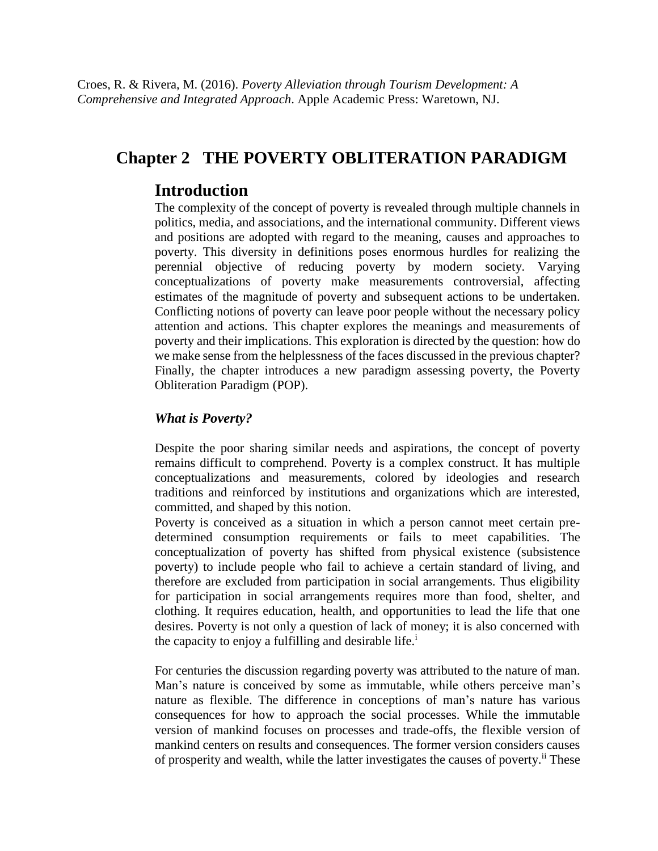## **Chapter 2 THE POVERTY OBLITERATION PARADIGM**

## **Introduction**

The complexity of the concept of poverty is revealed through multiple channels in politics, media, and associations, and the international community. Different views and positions are adopted with regard to the meaning, causes and approaches to poverty. This diversity in definitions poses enormous hurdles for realizing the perennial objective of reducing poverty by modern society. Varying conceptualizations of poverty make measurements controversial, affecting estimates of the magnitude of poverty and subsequent actions to be undertaken. Conflicting notions of poverty can leave poor people without the necessary policy attention and actions. This chapter explores the meanings and measurements of poverty and their implications. This exploration is directed by the question: how do we make sense from the helplessness of the faces discussed in the previous chapter? Finally, the chapter introduces a new paradigm assessing poverty, the Poverty Obliteration Paradigm (POP).

## *What is Poverty?*

Despite the poor sharing similar needs and aspirations, the concept of poverty remains difficult to comprehend. Poverty is a complex construct. It has multiple conceptualizations and measurements, colored by ideologies and research traditions and reinforced by institutions and organizations which are interested, committed, and shaped by this notion.

Poverty is conceived as a situation in which a person cannot meet certain predetermined consumption requirements or fails to meet capabilities. The conceptualization of poverty has shifted from physical existence (subsistence poverty) to include people who fail to achieve a certain standard of living, and therefore are excluded from participation in social arrangements. Thus eligibility for participation in social arrangements requires more than food, shelter, and clothing. It requires education, health, and opportunities to lead the life that one desires. Poverty is not only a question of lack of money; it is also concerned with the capacity to enjoy a fulfilling and desirable life. $^{\text{i}}$ 

For centuries the discussion regarding poverty was attributed to the nature of man. Man's nature is conceived by some as immutable, while others perceive man's nature as flexible. The difference in conceptions of man's nature has various consequences for how to approach the social processes. While the immutable version of mankind focuses on processes and trade-offs, the flexible version of mankind centers on results and consequences. The former version considers causes of prosperity and wealth, while the latter investigates the causes of poverty.<sup>ii</sup> These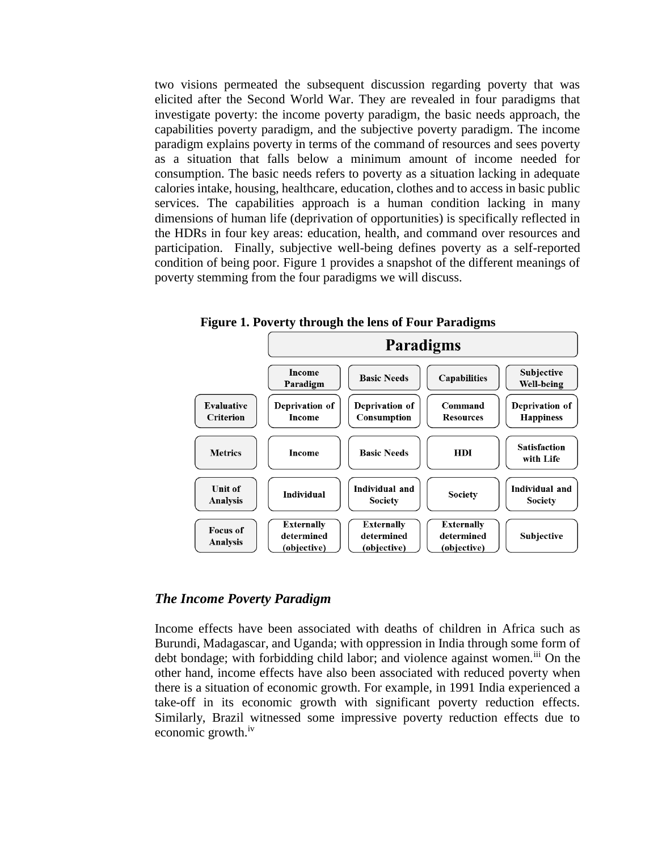two visions permeated the subsequent discussion regarding poverty that was elicited after the Second World War. They are revealed in four paradigms that investigate poverty: the income poverty paradigm, the basic needs approach, the capabilities poverty paradigm, and the subjective poverty paradigm. The income paradigm explains poverty in terms of the command of resources and sees poverty as a situation that falls below a minimum amount of income needed for consumption. The basic needs refers to poverty as a situation lacking in adequate calories intake, housing, healthcare, education, clothes and to access in basic public services. The capabilities approach is a human condition lacking in many dimensions of human life (deprivation of opportunities) is specifically reflected in the HDRs in four key areas: education, health, and command over resources and participation. Finally, subjective well-being defines poverty as a self-reported condition of being poor. Figure 1 provides a snapshot of the different meanings of poverty stemming from the four paradigms we will discuss.



**Figure 1. Poverty through the lens of Four Paradigms**

#### *The Income Poverty Paradigm*

Income effects have been associated with deaths of children in Africa such as Burundi, Madagascar, and Uganda; with oppression in India through some form of debt bondage; with forbidding child labor; and violence against women.<sup>iii</sup> On the other hand, income effects have also been associated with reduced poverty when there is a situation of economic growth. For example, in 1991 India experienced a take-off in its economic growth with significant poverty reduction effects. Similarly, Brazil witnessed some impressive poverty reduction effects due to economic growth.iv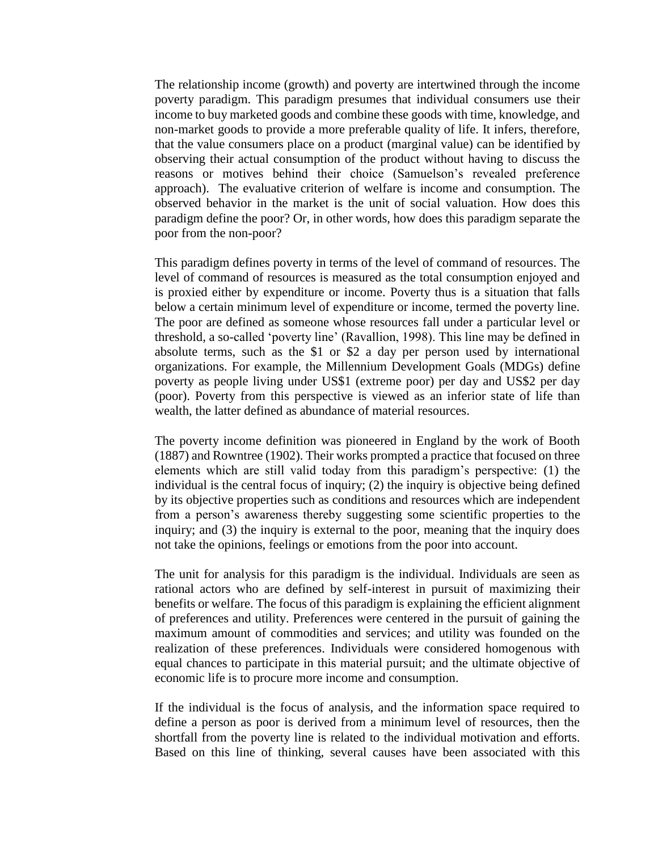The relationship income (growth) and poverty are intertwined through the income poverty paradigm. This paradigm presumes that individual consumers use their income to buy marketed goods and combine these goods with time, knowledge, and non-market goods to provide a more preferable quality of life. It infers, therefore, that the value consumers place on a product (marginal value) can be identified by observing their actual consumption of the product without having to discuss the reasons or motives behind their choice (Samuelson's revealed preference approach). The evaluative criterion of welfare is income and consumption. The observed behavior in the market is the unit of social valuation. How does this paradigm define the poor? Or, in other words, how does this paradigm separate the poor from the non-poor?

This paradigm defines poverty in terms of the level of command of resources. The level of command of resources is measured as the total consumption enjoyed and is proxied either by expenditure or income. Poverty thus is a situation that falls below a certain minimum level of expenditure or income, termed the poverty line. The poor are defined as someone whose resources fall under a particular level or threshold, a so-called 'poverty line' (Ravallion, 1998). This line may be defined in absolute terms, such as the \$1 or \$2 a day per person used by international organizations. For example, the Millennium Development Goals (MDGs) define poverty as people living under US\$1 (extreme poor) per day and US\$2 per day (poor). Poverty from this perspective is viewed as an inferior state of life than wealth, the latter defined as abundance of material resources.

The poverty income definition was pioneered in England by the work of Booth (1887) and Rowntree (1902). Their works prompted a practice that focused on three elements which are still valid today from this paradigm's perspective: (1) the individual is the central focus of inquiry; (2) the inquiry is objective being defined by its objective properties such as conditions and resources which are independent from a person's awareness thereby suggesting some scientific properties to the inquiry; and (3) the inquiry is external to the poor, meaning that the inquiry does not take the opinions, feelings or emotions from the poor into account.

The unit for analysis for this paradigm is the individual. Individuals are seen as rational actors who are defined by self-interest in pursuit of maximizing their benefits or welfare. The focus of this paradigm is explaining the efficient alignment of preferences and utility. Preferences were centered in the pursuit of gaining the maximum amount of commodities and services; and utility was founded on the realization of these preferences. Individuals were considered homogenous with equal chances to participate in this material pursuit; and the ultimate objective of economic life is to procure more income and consumption.

If the individual is the focus of analysis, and the information space required to define a person as poor is derived from a minimum level of resources, then the shortfall from the poverty line is related to the individual motivation and efforts. Based on this line of thinking, several causes have been associated with this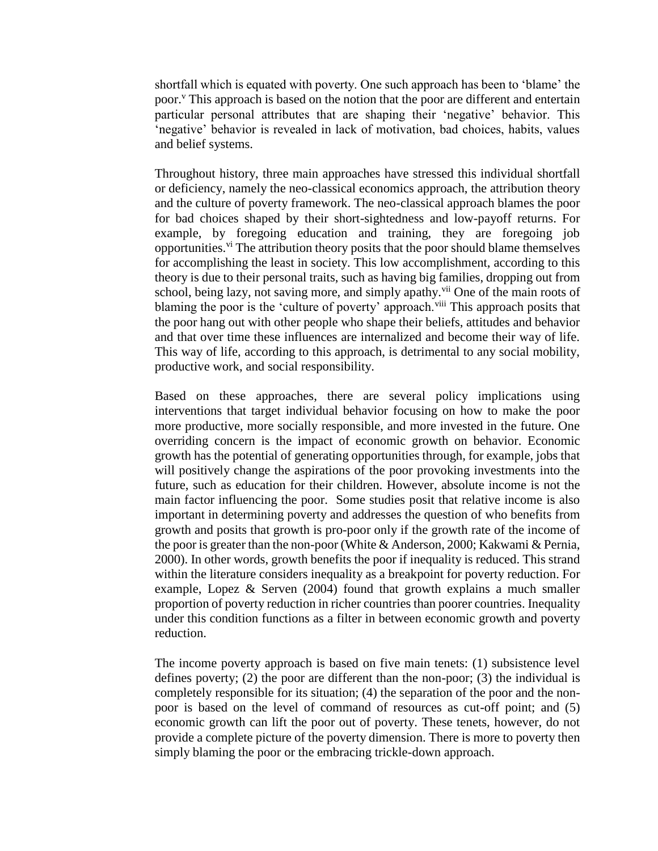shortfall which is equated with poverty. One such approach has been to 'blame' the poor.<sup>v</sup> This approach is based on the notion that the poor are different and entertain particular personal attributes that are shaping their 'negative' behavior. This 'negative' behavior is revealed in lack of motivation, bad choices, habits, values and belief systems.

Throughout history, three main approaches have stressed this individual shortfall or deficiency, namely the neo-classical economics approach, the attribution theory and the culture of poverty framework. The neo-classical approach blames the poor for bad choices shaped by their short-sightedness and low-payoff returns. For example, by foregoing education and training, they are foregoing job opportunities.<sup>vi</sup> The attribution theory posits that the poor should blame themselves for accomplishing the least in society. This low accomplishment, according to this theory is due to their personal traits, such as having big families, dropping out from school, being lazy, not saving more, and simply apathy.<sup>vii</sup> One of the main roots of blaming the poor is the 'culture of poverty' approach.<sup>viii</sup> This approach posits that the poor hang out with other people who shape their beliefs, attitudes and behavior and that over time these influences are internalized and become their way of life. This way of life, according to this approach, is detrimental to any social mobility, productive work, and social responsibility.

Based on these approaches, there are several policy implications using interventions that target individual behavior focusing on how to make the poor more productive, more socially responsible, and more invested in the future. One overriding concern is the impact of economic growth on behavior. Economic growth has the potential of generating opportunities through, for example, jobs that will positively change the aspirations of the poor provoking investments into the future, such as education for their children. However, absolute income is not the main factor influencing the poor. Some studies posit that relative income is also important in determining poverty and addresses the question of who benefits from growth and posits that growth is pro-poor only if the growth rate of the income of the poor is greater than the non-poor (White & Anderson, 2000; Kakwami & Pernia, 2000). In other words, growth benefits the poor if inequality is reduced. This strand within the literature considers inequality as a breakpoint for poverty reduction. For example, Lopez & Serven (2004) found that growth explains a much smaller proportion of poverty reduction in richer countries than poorer countries. Inequality under this condition functions as a filter in between economic growth and poverty reduction.

The income poverty approach is based on five main tenets: (1) subsistence level defines poverty; (2) the poor are different than the non-poor; (3) the individual is completely responsible for its situation; (4) the separation of the poor and the nonpoor is based on the level of command of resources as cut-off point; and (5) economic growth can lift the poor out of poverty. These tenets, however, do not provide a complete picture of the poverty dimension. There is more to poverty then simply blaming the poor or the embracing trickle-down approach.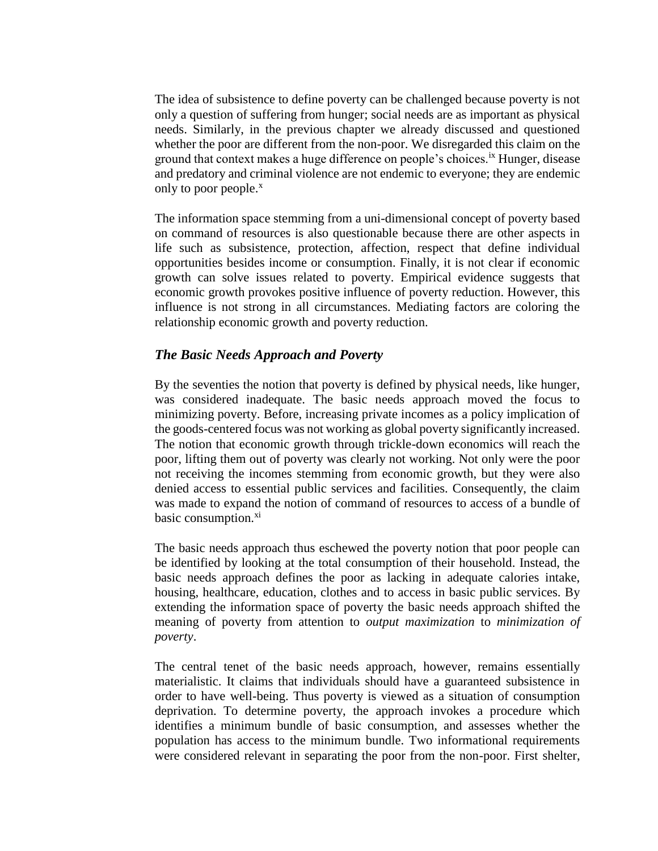The idea of subsistence to define poverty can be challenged because poverty is not only a question of suffering from hunger; social needs are as important as physical needs. Similarly, in the previous chapter we already discussed and questioned whether the poor are different from the non-poor. We disregarded this claim on the ground that context makes a huge difference on people's choices.<sup>ix</sup> Hunger, disease and predatory and criminal violence are not endemic to everyone; they are endemic only to poor people. $^x$ 

The information space stemming from a uni-dimensional concept of poverty based on command of resources is also questionable because there are other aspects in life such as subsistence, protection, affection, respect that define individual opportunities besides income or consumption. Finally, it is not clear if economic growth can solve issues related to poverty. Empirical evidence suggests that economic growth provokes positive influence of poverty reduction. However, this influence is not strong in all circumstances. Mediating factors are coloring the relationship economic growth and poverty reduction.

#### *The Basic Needs Approach and Poverty*

By the seventies the notion that poverty is defined by physical needs, like hunger, was considered inadequate. The basic needs approach moved the focus to minimizing poverty. Before, increasing private incomes as a policy implication of the goods-centered focus was not working as global poverty significantly increased. The notion that economic growth through trickle-down economics will reach the poor, lifting them out of poverty was clearly not working. Not only were the poor not receiving the incomes stemming from economic growth, but they were also denied access to essential public services and facilities. Consequently, the claim was made to expand the notion of command of resources to access of a bundle of basic consumption.<sup>xi</sup>

The basic needs approach thus eschewed the poverty notion that poor people can be identified by looking at the total consumption of their household. Instead, the basic needs approach defines the poor as lacking in adequate calories intake, housing, healthcare, education, clothes and to access in basic public services. By extending the information space of poverty the basic needs approach shifted the meaning of poverty from attention to *output maximization* to *minimization of poverty*.

The central tenet of the basic needs approach, however, remains essentially materialistic. It claims that individuals should have a guaranteed subsistence in order to have well-being. Thus poverty is viewed as a situation of consumption deprivation. To determine poverty, the approach invokes a procedure which identifies a minimum bundle of basic consumption, and assesses whether the population has access to the minimum bundle. Two informational requirements were considered relevant in separating the poor from the non-poor. First shelter,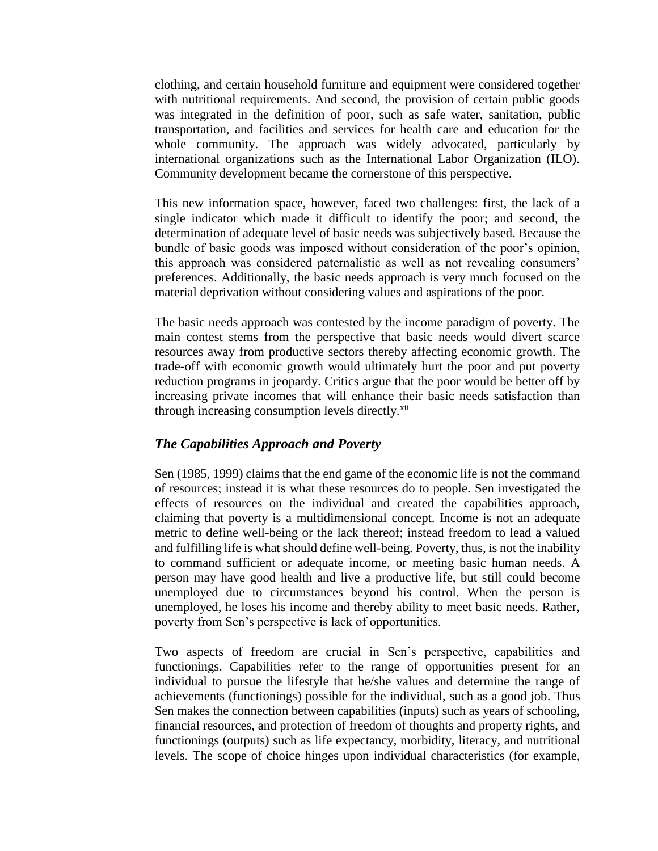clothing, and certain household furniture and equipment were considered together with nutritional requirements. And second, the provision of certain public goods was integrated in the definition of poor, such as safe water, sanitation, public transportation, and facilities and services for health care and education for the whole community. The approach was widely advocated, particularly by international organizations such as the International Labor Organization (ILO). Community development became the cornerstone of this perspective.

This new information space, however, faced two challenges: first, the lack of a single indicator which made it difficult to identify the poor; and second, the determination of adequate level of basic needs was subjectively based. Because the bundle of basic goods was imposed without consideration of the poor's opinion, this approach was considered paternalistic as well as not revealing consumers' preferences. Additionally, the basic needs approach is very much focused on the material deprivation without considering values and aspirations of the poor.

The basic needs approach was contested by the income paradigm of poverty. The main contest stems from the perspective that basic needs would divert scarce resources away from productive sectors thereby affecting economic growth. The trade-off with economic growth would ultimately hurt the poor and put poverty reduction programs in jeopardy. Critics argue that the poor would be better off by increasing private incomes that will enhance their basic needs satisfaction than through increasing consumption levels directly.<sup>xii</sup>

#### *The Capabilities Approach and Poverty*

Sen (1985, 1999) claims that the end game of the economic life is not the command of resources; instead it is what these resources do to people. Sen investigated the effects of resources on the individual and created the capabilities approach, claiming that poverty is a multidimensional concept. Income is not an adequate metric to define well-being or the lack thereof; instead freedom to lead a valued and fulfilling life is what should define well-being. Poverty, thus, is not the inability to command sufficient or adequate income, or meeting basic human needs. A person may have good health and live a productive life, but still could become unemployed due to circumstances beyond his control. When the person is unemployed, he loses his income and thereby ability to meet basic needs. Rather, poverty from Sen's perspective is lack of opportunities.

Two aspects of freedom are crucial in Sen's perspective, capabilities and functionings. Capabilities refer to the range of opportunities present for an individual to pursue the lifestyle that he/she values and determine the range of achievements (functionings) possible for the individual, such as a good job. Thus Sen makes the connection between capabilities (inputs) such as years of schooling, financial resources, and protection of freedom of thoughts and property rights, and functionings (outputs) such as life expectancy, morbidity, literacy, and nutritional levels. The scope of choice hinges upon individual characteristics (for example,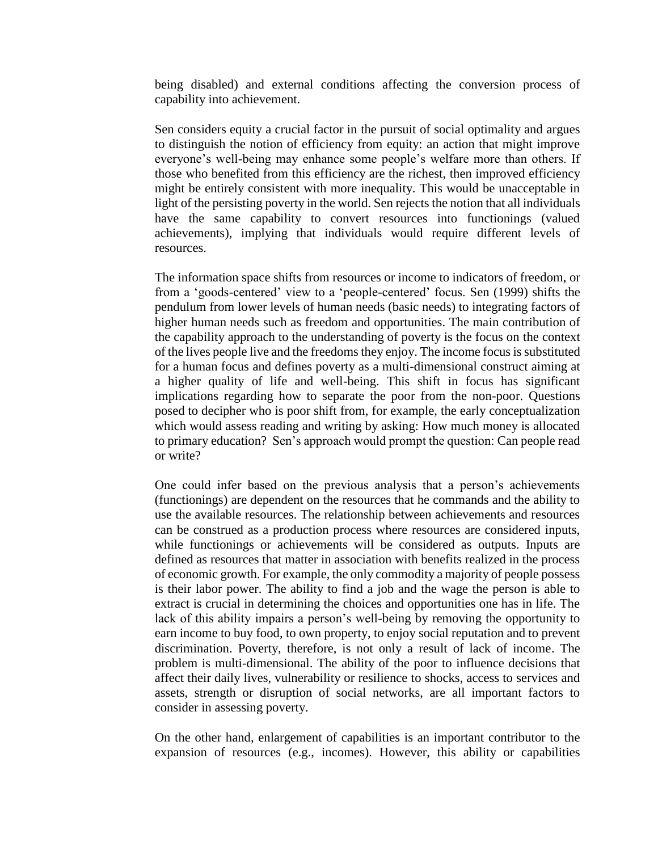being disabled) and external conditions affecting the conversion process of capability into achievement.

Sen considers equity a crucial factor in the pursuit of social optimality and argues to distinguish the notion of efficiency from equity: an action that might improve everyone's well-being may enhance some people's welfare more than others. If those who benefited from this efficiency are the richest, then improved efficiency might be entirely consistent with more inequality. This would be unacceptable in light of the persisting poverty in the world. Sen rejects the notion that all individuals have the same capability to convert resources into functionings (valued achievements), implying that individuals would require different levels of resources.

The information space shifts from resources or income to indicators of freedom, or from a 'goods-centered' view to a 'people-centered' focus. Sen (1999) shifts the pendulum from lower levels of human needs (basic needs) to integrating factors of higher human needs such as freedom and opportunities. The main contribution of the capability approach to the understanding of poverty is the focus on the context of the lives people live and the freedoms they enjoy. The income focus is substituted for a human focus and defines poverty as a multi-dimensional construct aiming at a higher quality of life and well-being. This shift in focus has significant implications regarding how to separate the poor from the non-poor. Questions posed to decipher who is poor shift from, for example, the early conceptualization which would assess reading and writing by asking: How much money is allocated to primary education? Sen's approach would prompt the question: Can people read or write?

One could infer based on the previous analysis that a person's achievements (functionings) are dependent on the resources that he commands and the ability to use the available resources. The relationship between achievements and resources can be construed as a production process where resources are considered inputs, while functionings or achievements will be considered as outputs. Inputs are defined as resources that matter in association with benefits realized in the process of economic growth. For example, the only commodity a majority of people possess is their labor power. The ability to find a job and the wage the person is able to extract is crucial in determining the choices and opportunities one has in life. The lack of this ability impairs a person's well-being by removing the opportunity to earn income to buy food, to own property, to enjoy social reputation and to prevent discrimination. Poverty, therefore, is not only a result of lack of income. The problem is multi-dimensional. The ability of the poor to influence decisions that affect their daily lives, vulnerability or resilience to shocks, access to services and assets, strength or disruption of social networks, are all important factors to consider in assessing poverty.

On the other hand, enlargement of capabilities is an important contributor to the expansion of resources (e.g., incomes). However, this ability or capabilities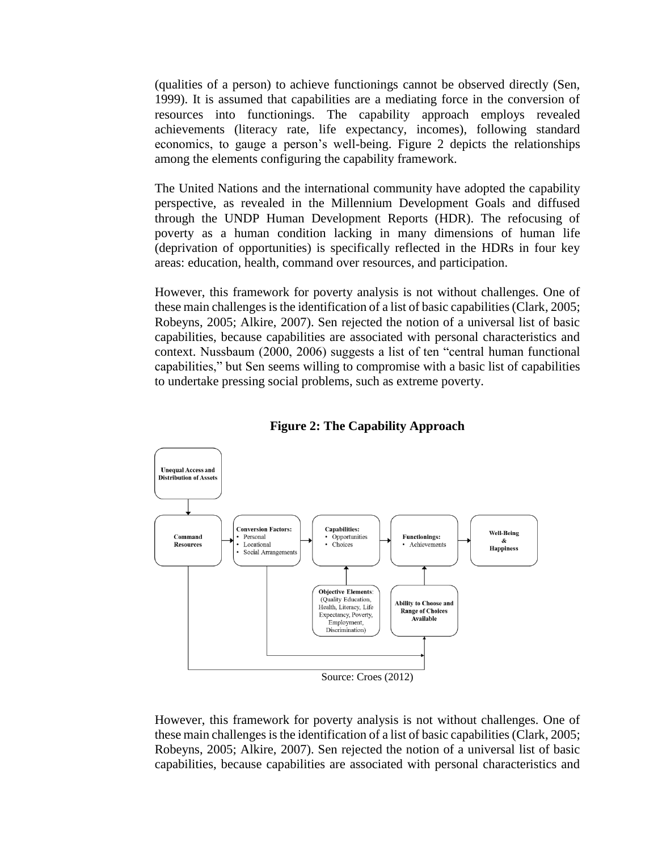(qualities of a person) to achieve functionings cannot be observed directly (Sen, 1999). It is assumed that capabilities are a mediating force in the conversion of resources into functionings. The capability approach employs revealed achievements (literacy rate, life expectancy, incomes), following standard economics, to gauge a person's well-being. Figure 2 depicts the relationships among the elements configuring the capability framework.

The United Nations and the international community have adopted the capability perspective, as revealed in the Millennium Development Goals and diffused through the UNDP Human Development Reports (HDR). The refocusing of poverty as a human condition lacking in many dimensions of human life (deprivation of opportunities) is specifically reflected in the HDRs in four key areas: education, health, command over resources, and participation.

However, this framework for poverty analysis is not without challenges. One of these main challenges is the identification of a list of basic capabilities (Clark, 2005; Robeyns, 2005; Alkire, 2007). Sen rejected the notion of a universal list of basic capabilities, because capabilities are associated with personal characteristics and context. Nussbaum (2000, 2006) suggests a list of ten "central human functional capabilities," but Sen seems willing to compromise with a basic list of capabilities to undertake pressing social problems, such as extreme poverty.



#### **Figure 2: The Capability Approach**

However, this framework for poverty analysis is not without challenges. One of these main challenges is the identification of a list of basic capabilities (Clark, 2005; Robeyns, 2005; Alkire, 2007). Sen rejected the notion of a universal list of basic capabilities, because capabilities are associated with personal characteristics and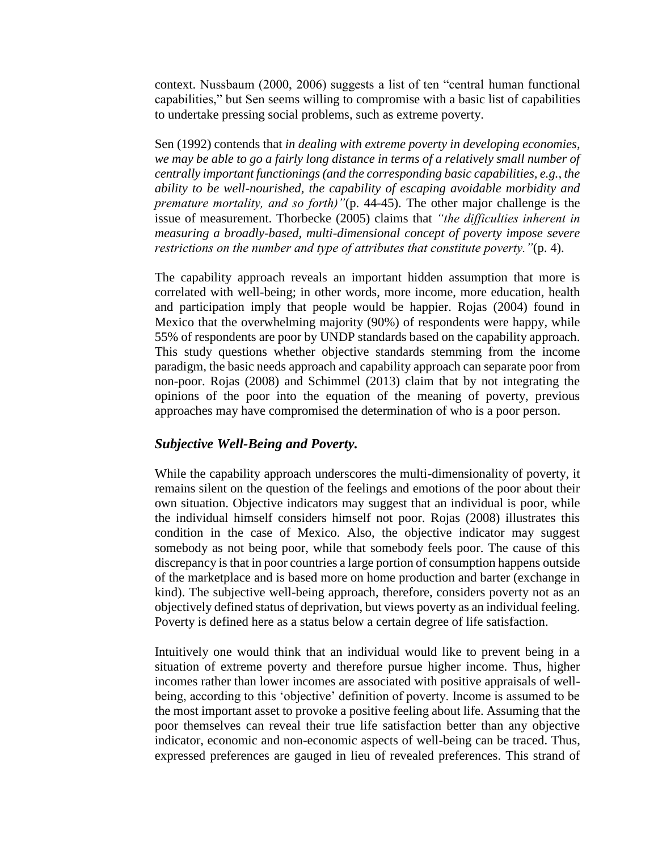context. Nussbaum (2000, 2006) suggests a list of ten "central human functional capabilities," but Sen seems willing to compromise with a basic list of capabilities to undertake pressing social problems, such as extreme poverty.

Sen (1992) contends that *in dealing with extreme poverty in developing economies, we may be able to go a fairly long distance in terms of a relatively small number of centrally important functionings (and the corresponding basic capabilities, e.g., the ability to be well-nourished, the capability of escaping avoidable morbidity and premature mortality, and so forth)"*(p. 44-45). The other major challenge is the issue of measurement. Thorbecke (2005) claims that *"the difficulties inherent in measuring a broadly-based, multi-dimensional concept of poverty impose severe restrictions on the number and type of attributes that constitute poverty."*(p. 4).

The capability approach reveals an important hidden assumption that more is correlated with well-being; in other words, more income, more education, health and participation imply that people would be happier. Rojas (2004) found in Mexico that the overwhelming majority (90%) of respondents were happy, while 55% of respondents are poor by UNDP standards based on the capability approach. This study questions whether objective standards stemming from the income paradigm, the basic needs approach and capability approach can separate poor from non-poor. Rojas (2008) and Schimmel (2013) claim that by not integrating the opinions of the poor into the equation of the meaning of poverty, previous approaches may have compromised the determination of who is a poor person.

#### *Subjective Well-Being and Poverty.*

While the capability approach underscores the multi-dimensionality of poverty, it remains silent on the question of the feelings and emotions of the poor about their own situation. Objective indicators may suggest that an individual is poor, while the individual himself considers himself not poor. Rojas (2008) illustrates this condition in the case of Mexico. Also, the objective indicator may suggest somebody as not being poor, while that somebody feels poor. The cause of this discrepancy is that in poor countries a large portion of consumption happens outside of the marketplace and is based more on home production and barter (exchange in kind). The subjective well-being approach, therefore, considers poverty not as an objectively defined status of deprivation, but views poverty as an individual feeling. Poverty is defined here as a status below a certain degree of life satisfaction.

Intuitively one would think that an individual would like to prevent being in a situation of extreme poverty and therefore pursue higher income. Thus, higher incomes rather than lower incomes are associated with positive appraisals of wellbeing, according to this 'objective' definition of poverty. Income is assumed to be the most important asset to provoke a positive feeling about life. Assuming that the poor themselves can reveal their true life satisfaction better than any objective indicator, economic and non-economic aspects of well-being can be traced. Thus, expressed preferences are gauged in lieu of revealed preferences. This strand of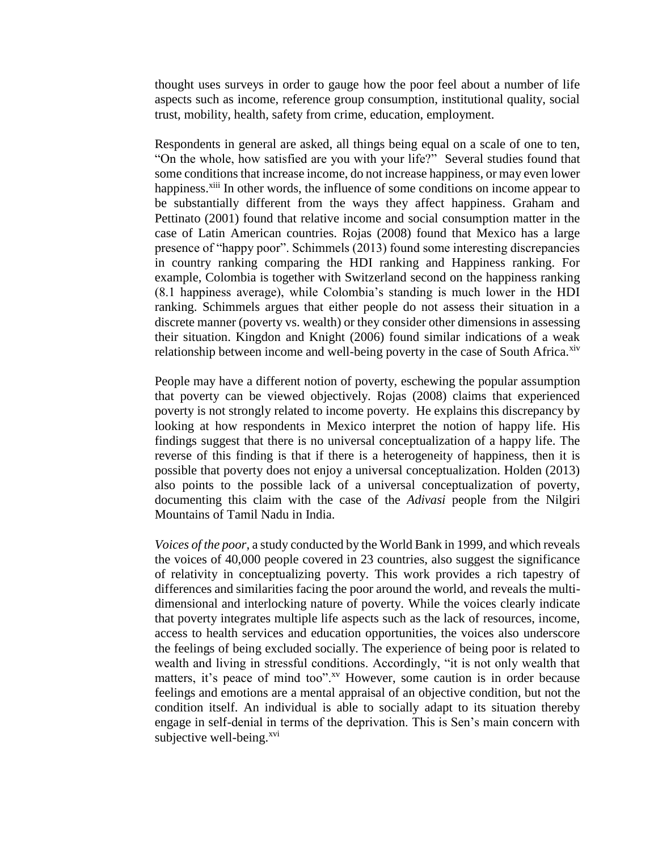thought uses surveys in order to gauge how the poor feel about a number of life aspects such as income, reference group consumption, institutional quality, social trust, mobility, health, safety from crime, education, employment.

Respondents in general are asked, all things being equal on a scale of one to ten, "On the whole, how satisfied are you with your life?" Several studies found that some conditions that increase income, do not increase happiness, or may even lower happiness.<sup>xiii</sup> In other words, the influence of some conditions on income appear to be substantially different from the ways they affect happiness. Graham and Pettinato (2001) found that relative income and social consumption matter in the case of Latin American countries. Rojas (2008) found that Mexico has a large presence of "happy poor". Schimmels (2013) found some interesting discrepancies in country ranking comparing the HDI ranking and Happiness ranking. For example, Colombia is together with Switzerland second on the happiness ranking (8.1 happiness average), while Colombia's standing is much lower in the HDI ranking. Schimmels argues that either people do not assess their situation in a discrete manner (poverty vs. wealth) or they consider other dimensions in assessing their situation. Kingdon and Knight (2006) found similar indications of a weak relationship between income and well-being poverty in the case of South Africa.<sup>xiv</sup>

People may have a different notion of poverty, eschewing the popular assumption that poverty can be viewed objectively. Rojas (2008) claims that experienced poverty is not strongly related to income poverty. He explains this discrepancy by looking at how respondents in Mexico interpret the notion of happy life. His findings suggest that there is no universal conceptualization of a happy life. The reverse of this finding is that if there is a heterogeneity of happiness, then it is possible that poverty does not enjoy a universal conceptualization. Holden (2013) also points to the possible lack of a universal conceptualization of poverty, documenting this claim with the case of the *Adivasi* people from the Nilgiri Mountains of Tamil Nadu in India.

*Voices of the poor,* a study conducted by the World Bank in 1999, and which reveals the voices of 40,000 people covered in 23 countries, also suggest the significance of relativity in conceptualizing poverty. This work provides a rich tapestry of differences and similarities facing the poor around the world, and reveals the multidimensional and interlocking nature of poverty. While the voices clearly indicate that poverty integrates multiple life aspects such as the lack of resources, income, access to health services and education opportunities, the voices also underscore the feelings of being excluded socially. The experience of being poor is related to wealth and living in stressful conditions. Accordingly, "it is not only wealth that matters, it's peace of mind too".<sup>xv</sup> However, some caution is in order because feelings and emotions are a mental appraisal of an objective condition, but not the condition itself. An individual is able to socially adapt to its situation thereby engage in self-denial in terms of the deprivation. This is Sen's main concern with subjective well-being.<sup>xvi</sup>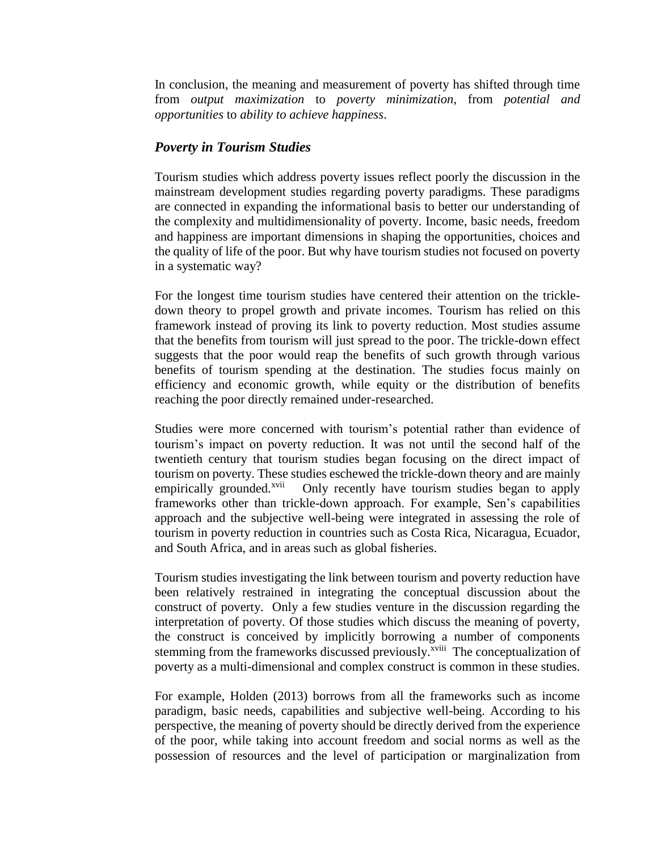In conclusion, the meaning and measurement of poverty has shifted through time from *output maximization* to *poverty minimization*, from *potential and opportunities* to *ability to achieve happiness*.

#### *Poverty in Tourism Studies*

Tourism studies which address poverty issues reflect poorly the discussion in the mainstream development studies regarding poverty paradigms. These paradigms are connected in expanding the informational basis to better our understanding of the complexity and multidimensionality of poverty. Income, basic needs, freedom and happiness are important dimensions in shaping the opportunities, choices and the quality of life of the poor. But why have tourism studies not focused on poverty in a systematic way?

For the longest time tourism studies have centered their attention on the trickledown theory to propel growth and private incomes. Tourism has relied on this framework instead of proving its link to poverty reduction. Most studies assume that the benefits from tourism will just spread to the poor. The trickle-down effect suggests that the poor would reap the benefits of such growth through various benefits of tourism spending at the destination. The studies focus mainly on efficiency and economic growth, while equity or the distribution of benefits reaching the poor directly remained under-researched.

Studies were more concerned with tourism's potential rather than evidence of tourism's impact on poverty reduction. It was not until the second half of the twentieth century that tourism studies began focusing on the direct impact of tourism on poverty. These studies eschewed the trickle-down theory and are mainly empirically grounded.<sup>xvii</sup> Only recently have tourism studies began to apply frameworks other than trickle-down approach. For example, Sen's capabilities approach and the subjective well-being were integrated in assessing the role of tourism in poverty reduction in countries such as Costa Rica, Nicaragua, Ecuador, and South Africa, and in areas such as global fisheries.

Tourism studies investigating the link between tourism and poverty reduction have been relatively restrained in integrating the conceptual discussion about the construct of poverty. Only a few studies venture in the discussion regarding the interpretation of poverty. Of those studies which discuss the meaning of poverty, the construct is conceived by implicitly borrowing a number of components stemming from the frameworks discussed previously.<sup>xviii</sup> The conceptualization of poverty as a multi-dimensional and complex construct is common in these studies.

For example, Holden (2013) borrows from all the frameworks such as income paradigm, basic needs, capabilities and subjective well-being. According to his perspective, the meaning of poverty should be directly derived from the experience of the poor, while taking into account freedom and social norms as well as the possession of resources and the level of participation or marginalization from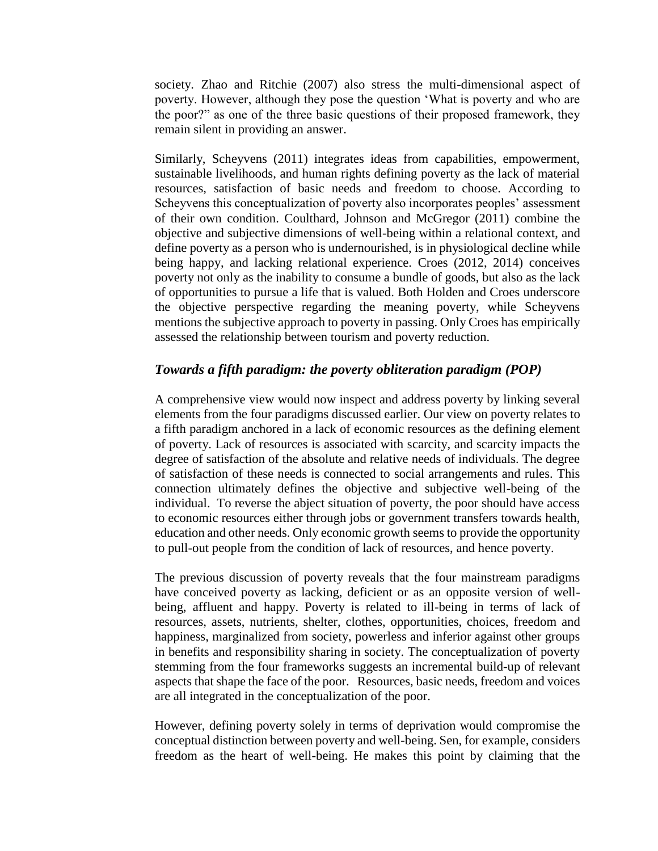society. Zhao and Ritchie (2007) also stress the multi-dimensional aspect of poverty. However, although they pose the question 'What is poverty and who are the poor?" as one of the three basic questions of their proposed framework, they remain silent in providing an answer.

Similarly, Scheyvens (2011) integrates ideas from capabilities, empowerment, sustainable livelihoods, and human rights defining poverty as the lack of material resources, satisfaction of basic needs and freedom to choose. According to Scheyvens this conceptualization of poverty also incorporates peoples' assessment of their own condition. Coulthard, Johnson and McGregor (2011) combine the objective and subjective dimensions of well-being within a relational context, and define poverty as a person who is undernourished, is in physiological decline while being happy, and lacking relational experience. Croes (2012, 2014) conceives poverty not only as the inability to consume a bundle of goods, but also as the lack of opportunities to pursue a life that is valued. Both Holden and Croes underscore the objective perspective regarding the meaning poverty, while Scheyvens mentions the subjective approach to poverty in passing. Only Croes has empirically assessed the relationship between tourism and poverty reduction.

### *Towards a fifth paradigm: the poverty obliteration paradigm (POP)*

A comprehensive view would now inspect and address poverty by linking several elements from the four paradigms discussed earlier. Our view on poverty relates to a fifth paradigm anchored in a lack of economic resources as the defining element of poverty. Lack of resources is associated with scarcity, and scarcity impacts the degree of satisfaction of the absolute and relative needs of individuals. The degree of satisfaction of these needs is connected to social arrangements and rules. This connection ultimately defines the objective and subjective well-being of the individual. To reverse the abject situation of poverty, the poor should have access to economic resources either through jobs or government transfers towards health, education and other needs. Only economic growth seems to provide the opportunity to pull-out people from the condition of lack of resources, and hence poverty.

The previous discussion of poverty reveals that the four mainstream paradigms have conceived poverty as lacking, deficient or as an opposite version of wellbeing, affluent and happy. Poverty is related to ill-being in terms of lack of resources, assets, nutrients, shelter, clothes, opportunities, choices, freedom and happiness, marginalized from society, powerless and inferior against other groups in benefits and responsibility sharing in society. The conceptualization of poverty stemming from the four frameworks suggests an incremental build-up of relevant aspects that shape the face of the poor. Resources, basic needs, freedom and voices are all integrated in the conceptualization of the poor.

However, defining poverty solely in terms of deprivation would compromise the conceptual distinction between poverty and well-being. Sen, for example, considers freedom as the heart of well-being. He makes this point by claiming that the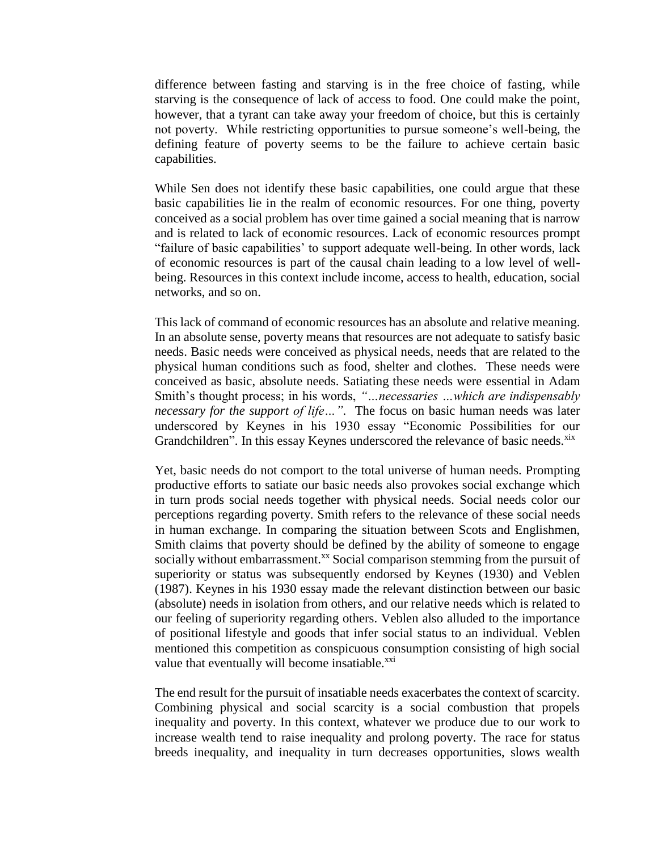difference between fasting and starving is in the free choice of fasting, while starving is the consequence of lack of access to food. One could make the point, however, that a tyrant can take away your freedom of choice, but this is certainly not poverty. While restricting opportunities to pursue someone's well-being, the defining feature of poverty seems to be the failure to achieve certain basic capabilities.

While Sen does not identify these basic capabilities, one could argue that these basic capabilities lie in the realm of economic resources. For one thing, poverty conceived as a social problem has over time gained a social meaning that is narrow and is related to lack of economic resources. Lack of economic resources prompt "failure of basic capabilities' to support adequate well-being. In other words, lack of economic resources is part of the causal chain leading to a low level of wellbeing. Resources in this context include income, access to health, education, social networks, and so on.

This lack of command of economic resources has an absolute and relative meaning. In an absolute sense, poverty means that resources are not adequate to satisfy basic needs. Basic needs were conceived as physical needs, needs that are related to the physical human conditions such as food, shelter and clothes. These needs were conceived as basic, absolute needs. Satiating these needs were essential in Adam Smith's thought process; in his words, *"…necessaries …which are indispensably necessary for the support of life…"*. The focus on basic human needs was later underscored by Keynes in his 1930 essay "Economic Possibilities for our Grandchildren". In this essay Keynes underscored the relevance of basic needs.<sup>xix</sup>

Yet, basic needs do not comport to the total universe of human needs. Prompting productive efforts to satiate our basic needs also provokes social exchange which in turn prods social needs together with physical needs. Social needs color our perceptions regarding poverty. Smith refers to the relevance of these social needs in human exchange. In comparing the situation between Scots and Englishmen, Smith claims that poverty should be defined by the ability of someone to engage socially without embarrassment.<sup>xx</sup> Social comparison stemming from the pursuit of superiority or status was subsequently endorsed by Keynes (1930) and Veblen (1987). Keynes in his 1930 essay made the relevant distinction between our basic (absolute) needs in isolation from others, and our relative needs which is related to our feeling of superiority regarding others. Veblen also alluded to the importance of positional lifestyle and goods that infer social status to an individual. Veblen mentioned this competition as conspicuous consumption consisting of high social value that eventually will become insatiable.<sup>xxi</sup>

The end result for the pursuit of insatiable needs exacerbates the context of scarcity. Combining physical and social scarcity is a social combustion that propels inequality and poverty. In this context, whatever we produce due to our work to increase wealth tend to raise inequality and prolong poverty. The race for status breeds inequality, and inequality in turn decreases opportunities, slows wealth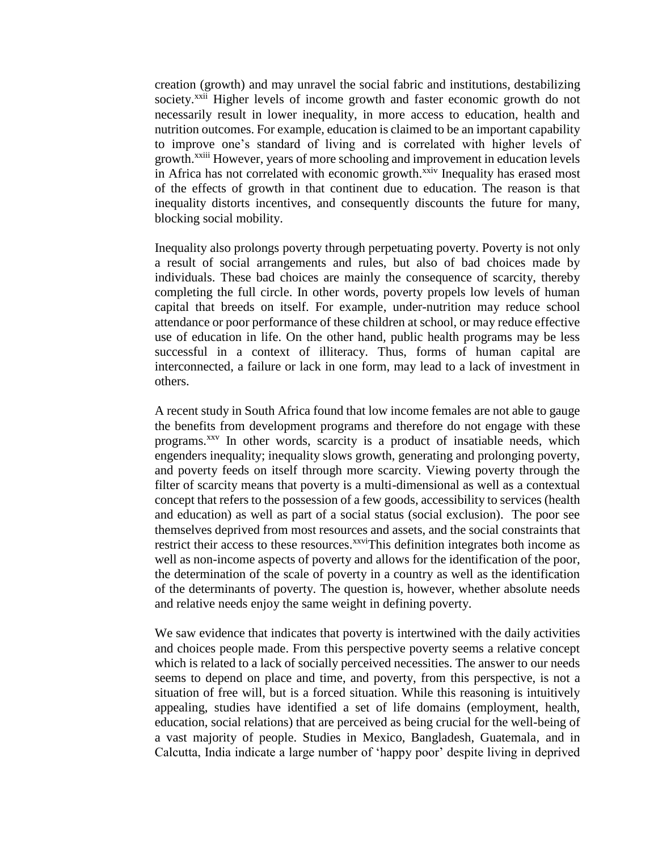creation (growth) and may unravel the social fabric and institutions, destabilizing society.<sup>xxii</sup> Higher levels of income growth and faster economic growth do not necessarily result in lower inequality, in more access to education, health and nutrition outcomes. For example, education is claimed to be an important capability to improve one's standard of living and is correlated with higher levels of growth.<sup>xxiii</sup> However, years of more schooling and improvement in education levels in Africa has not correlated with economic growth.<sup>xxiv</sup> Inequality has erased most of the effects of growth in that continent due to education. The reason is that inequality distorts incentives, and consequently discounts the future for many, blocking social mobility.

Inequality also prolongs poverty through perpetuating poverty. Poverty is not only a result of social arrangements and rules, but also of bad choices made by individuals. These bad choices are mainly the consequence of scarcity, thereby completing the full circle. In other words, poverty propels low levels of human capital that breeds on itself. For example, under-nutrition may reduce school attendance or poor performance of these children at school, or may reduce effective use of education in life. On the other hand, public health programs may be less successful in a context of illiteracy. Thus, forms of human capital are interconnected, a failure or lack in one form, may lead to a lack of investment in others.

A recent study in South Africa found that low income females are not able to gauge the benefits from development programs and therefore do not engage with these programs.xxv In other words, scarcity is a product of insatiable needs, which engenders inequality; inequality slows growth, generating and prolonging poverty, and poverty feeds on itself through more scarcity. Viewing poverty through the filter of scarcity means that poverty is a multi-dimensional as well as a contextual concept that refers to the possession of a few goods, accessibility to services (health and education) as well as part of a social status (social exclusion). The poor see themselves deprived from most resources and assets, and the social constraints that restrict their access to these resources.<sup>xxvi</sup>This definition integrates both income as well as non-income aspects of poverty and allows for the identification of the poor, the determination of the scale of poverty in a country as well as the identification of the determinants of poverty. The question is, however, whether absolute needs and relative needs enjoy the same weight in defining poverty.

We saw evidence that indicates that poverty is intertwined with the daily activities and choices people made. From this perspective poverty seems a relative concept which is related to a lack of socially perceived necessities. The answer to our needs seems to depend on place and time, and poverty, from this perspective, is not a situation of free will, but is a forced situation. While this reasoning is intuitively appealing, studies have identified a set of life domains (employment, health, education, social relations) that are perceived as being crucial for the well-being of a vast majority of people. Studies in Mexico, Bangladesh, Guatemala, and in Calcutta, India indicate a large number of 'happy poor' despite living in deprived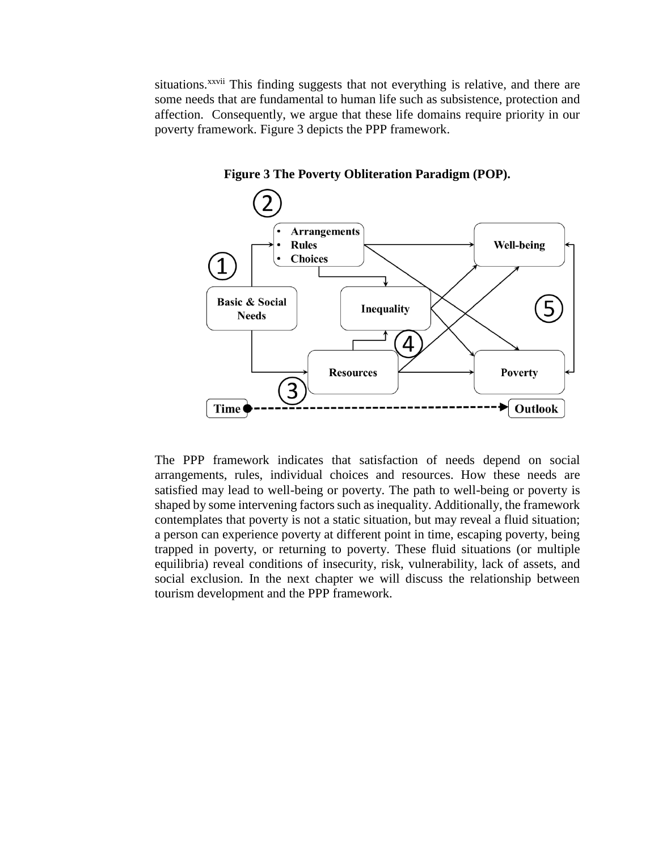situations.<sup>xxvii</sup> This finding suggests that not everything is relative, and there are some needs that are fundamental to human life such as subsistence, protection and affection. Consequently, we argue that these life domains require priority in our poverty framework. Figure 3 depicts the PPP framework.



**Figure 3 The Poverty Obliteration Paradigm (POP).**

The PPP framework indicates that satisfaction of needs depend on social arrangements, rules, individual choices and resources. How these needs are satisfied may lead to well-being or poverty. The path to well-being or poverty is shaped by some intervening factors such as inequality. Additionally, the framework contemplates that poverty is not a static situation, but may reveal a fluid situation; a person can experience poverty at different point in time, escaping poverty, being trapped in poverty, or returning to poverty. These fluid situations (or multiple equilibria) reveal conditions of insecurity, risk, vulnerability, lack of assets, and social exclusion. In the next chapter we will discuss the relationship between tourism development and the PPP framework.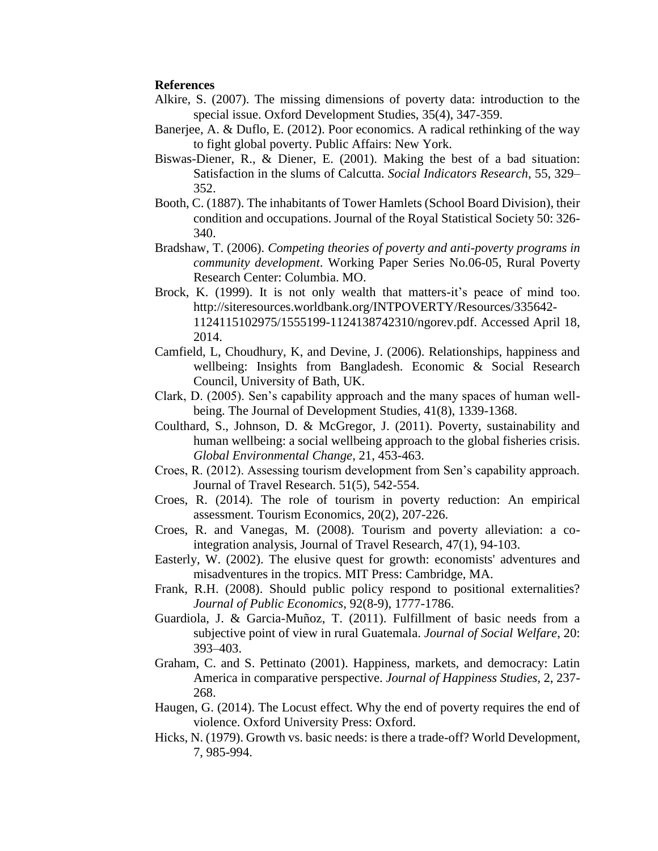#### **References**

- Alkire, S. (2007). The missing dimensions of poverty data: introduction to the special issue. Oxford Development Studies, 35(4), 347-359.
- Banerjee, A. & Duflo, E. (2012). Poor economics. A radical rethinking of the way to fight global poverty. Public Affairs: New York.
- Biswas-Diener, R., & Diener, E. (2001). Making the best of a bad situation: Satisfaction in the slums of Calcutta. *Social Indicators Research*, 55, 329– 352.
- Booth, C. (1887). The inhabitants of Tower Hamlets (School Board Division), their condition and occupations. Journal of the Royal Statistical Society 50: 326- 340.
- Bradshaw, T. (2006). *Competing theories of poverty and anti-poverty programs in community development*. Working Paper Series No.06-05, Rural Poverty Research Center: Columbia. MO.
- Brock, K. (1999). It is not only wealth that matters-it's peace of mind too. http://siteresources.worldbank.org/INTPOVERTY/Resources/335642- 1124115102975/1555199-1124138742310/ngorev.pdf. Accessed April 18, 2014.
- Camfield, L, Choudhury, K, and Devine, J. (2006). Relationships, happiness and wellbeing: Insights from Bangladesh. Economic & Social Research Council, University of Bath, UK.
- Clark, D. (2005). Sen's capability approach and the many spaces of human wellbeing. The Journal of Development Studies, 41(8), 1339-1368.
- Coulthard, S., Johnson, D. & McGregor, J. (2011). Poverty, sustainability and human wellbeing: a social wellbeing approach to the global fisheries crisis. *Global Environmental Change*, 21, 453-463.
- Croes, R. (2012). Assessing tourism development from Sen's capability approach. Journal of Travel Research. 51(5), 542-554.
- Croes, R. (2014). The role of tourism in poverty reduction: An empirical assessment. Tourism Economics, 20(2), 207-226.
- Croes, R. and Vanegas, M. (2008). Tourism and poverty alleviation: a cointegration analysis, Journal of Travel Research, 47(1), 94-103.
- Easterly, W. (2002). The elusive quest for growth: economists' adventures and misadventures in the tropics. MIT Press: Cambridge, MA.
- Frank, R.H. (2008). Should public policy respond to positional externalities? *Journal of Public Economics*, 92(8-9), 1777-1786.
- Guardiola, J. & Garcia-Muñoz, T. (2011). Fulfillment of basic needs from a subjective point of view in rural Guatemala. *Journal of Social Welfare*, 20: 393–403.
- Graham, C. and S. Pettinato (2001). Happiness, markets, and democracy: Latin America in comparative perspective. *Journal of Happiness Studies,* 2, 237- 268.
- Haugen, G. (2014). The Locust effect. Why the end of poverty requires the end of violence. Oxford University Press: Oxford.
- Hicks, N. (1979). Growth vs. basic needs: is there a trade-off? World Development, 7, 985-994.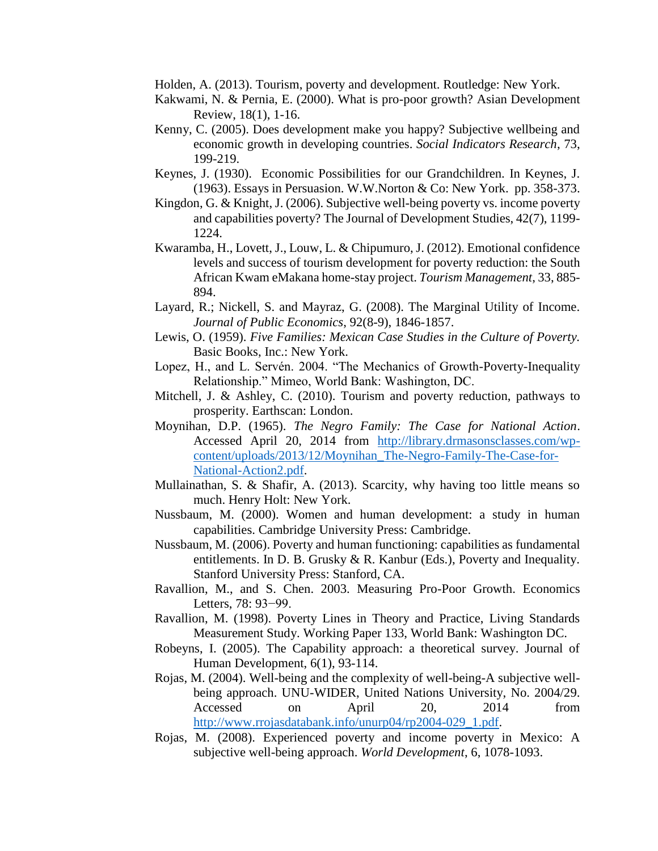- Holden, A. (2013). Tourism, poverty and development. Routledge: New York.
- Kakwami, N. & Pernia, E. (2000). What is pro-poor growth? Asian Development Review, 18(1), 1-16.
- Kenny, C. (2005). Does development make you happy? Subjective wellbeing and economic growth in developing countries. *Social Indicators Research*, 73, 199-219.
- Keynes, J. (1930). Economic Possibilities for our Grandchildren. In Keynes, J. (1963). Essays in Persuasion. W.W.Norton & Co: New York. pp. 358-373.
- Kingdon, G. & Knight, J. (2006). Subjective well-being poverty vs. income poverty and capabilities poverty? The Journal of Development Studies, 42(7), 1199- 1224.
- Kwaramba, H., Lovett, J., Louw, L. & Chipumuro, J. (2012). Emotional confidence levels and success of tourism development for poverty reduction: the South African Kwam eMakana home-stay project. *Tourism Management*, 33, 885- 894.
- Layard, R.; Nickell, S. and Mayraz, G. (2008). The Marginal Utility of Income. *Journal of Public Economics*, 92(8-9), 1846-1857.
- Lewis, O. (1959). *Five Families: Mexican Case Studies in the Culture of Poverty.* Basic Books, Inc.: New York.
- Lopez, H., and L. Servén. 2004. "The Mechanics of Growth-Poverty-Inequality Relationship." Mimeo, World Bank: Washington, DC.
- Mitchell, J. & Ashley, C. (2010). Tourism and poverty reduction, pathways to prosperity. Earthscan: London.
- Moynihan, D.P. (1965). *The Negro Family: The Case for National Action*. Accessed April 20, 2014 from [http://library.drmasonsclasses.com/wp](http://library.drmasonsclasses.com/wp-content/uploads/2013/12/Moynihan_The-Negro-Family-The-Case-for-National-Action2.pdf)[content/uploads/2013/12/Moynihan\\_The-Negro-Family-The-Case-for-](http://library.drmasonsclasses.com/wp-content/uploads/2013/12/Moynihan_The-Negro-Family-The-Case-for-National-Action2.pdf)[National-Action2.pdf.](http://library.drmasonsclasses.com/wp-content/uploads/2013/12/Moynihan_The-Negro-Family-The-Case-for-National-Action2.pdf)
- Mullainathan, S. & Shafir, A. (2013). Scarcity, why having too little means so much. Henry Holt: New York.
- Nussbaum, M. (2000). Women and human development: a study in human capabilities. Cambridge University Press: Cambridge.
- Nussbaum, M. (2006). Poverty and human functioning: capabilities as fundamental entitlements. In D. B. Grusky & R. Kanbur (Eds.), Poverty and Inequality. Stanford University Press: Stanford, CA.
- Ravallion, M., and S. Chen. 2003. Measuring Pro-Poor Growth. Economics Letters, 78: 93−99.
- Ravallion, M. (1998). Poverty Lines in Theory and Practice, Living Standards Measurement Study. Working Paper 133, World Bank: Washington DC.
- Robeyns, I. (2005). The Capability approach: a theoretical survey. Journal of Human Development, 6(1), 93-114.
- Rojas, M. (2004). Well-being and the complexity of well-being-A subjective wellbeing approach. UNU-WIDER, United Nations University, No. 2004/29. Accessed on April 20, 2014 from [http://www.rrojasdatabank.info/unurp04/rp2004-029\\_1.pdf.](http://www.rrojasdatabank.info/unurp04/rp2004-029_1.pdf)
- Rojas, M. (2008). Experienced poverty and income poverty in Mexico: A subjective well-being approach. *World Development*, 6, 1078-1093.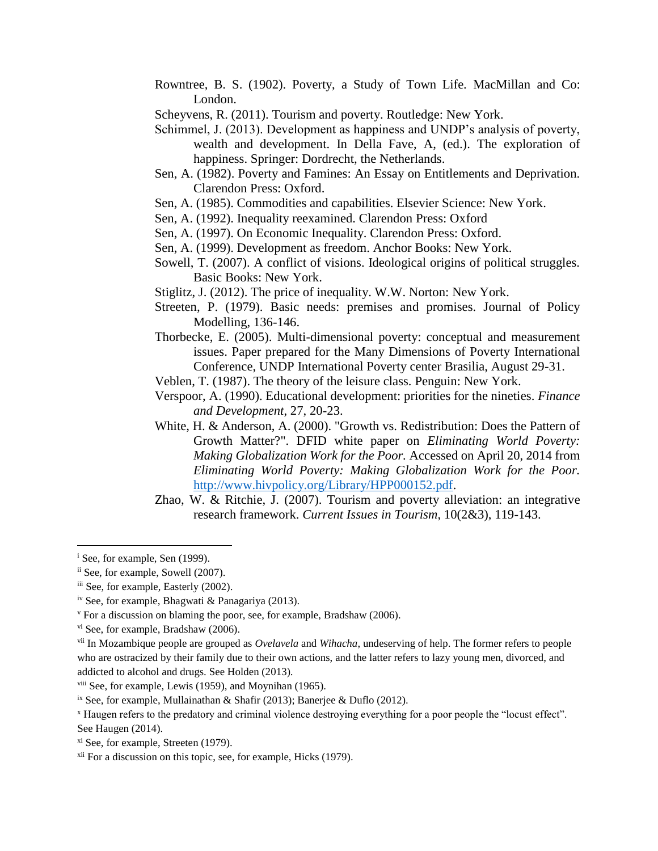- Rowntree, B. S. (1902). Poverty, a Study of Town Life. MacMillan and Co: London.
- Scheyvens, R. (2011). Tourism and poverty. Routledge: New York.
- Schimmel, J. (2013). Development as happiness and UNDP's analysis of poverty, wealth and development. In Della Fave, A, (ed.). The exploration of happiness. Springer: Dordrecht, the Netherlands.
- Sen, A. (1982). Poverty and Famines: An Essay on Entitlements and Deprivation. Clarendon Press: Oxford.
- Sen, A. (1985). Commodities and capabilities. Elsevier Science: New York.
- Sen, A. (1992). Inequality reexamined. Clarendon Press: Oxford
- Sen, A. (1997). On Economic Inequality. Clarendon Press: Oxford.
- Sen, A. (1999). Development as freedom. Anchor Books: New York.
- Sowell, T. (2007). A conflict of visions. Ideological origins of political struggles. Basic Books: New York.
- Stiglitz, J. (2012). The price of inequality. W.W. Norton: New York.
- Streeten, P. (1979). Basic needs: premises and promises. Journal of Policy Modelling, 136-146.
- Thorbecke, E. (2005). Multi-dimensional poverty: conceptual and measurement issues. Paper prepared for the Many Dimensions of Poverty International Conference, UNDP International Poverty center Brasilia, August 29-31.
- Veblen, T. (1987). The theory of the leisure class. Penguin: New York.
- Verspoor, A. (1990). Educational development: priorities for the nineties. *Finance and Development*, 27, 20-23.
- White, H. & Anderson, A. (2000). "Growth vs. Redistribution: Does the Pattern of Growth Matter?". DFID white paper on *Eliminating World Poverty: Making Globalization Work for the Poor.* Accessed on April 20, 2014 from *Eliminating World Poverty: Making Globalization Work for the Poor.* [http://www.hivpolicy.org/Library/HPP000152.pdf.](http://www.hivpolicy.org/Library/HPP000152.pdf)
- Zhao, W. & Ritchie, J. (2007). Tourism and poverty alleviation: an integrative research framework. *Current Issues in Tourism*, 10(2&3), 119-143.

 $\overline{a}$ 

<sup>&</sup>lt;sup>i</sup> See, for example, Sen (1999).

ii See, for example, Sowell (2007).

iii See, for example, Easterly (2002).

iv See, for example, Bhagwati & Panagariya (2013).

<sup>v</sup> For a discussion on blaming the poor, see, for example, Bradshaw (2006).

vi See, for example, Bradshaw (2006).

vii In Mozambique people are grouped as *Ovelavela* and *Wihacha*, undeserving of help. The former refers to people who are ostracized by their family due to their own actions, and the latter refers to lazy young men, divorced, and addicted to alcohol and drugs. See Holden (2013).

viii See, for example, Lewis (1959), and Moynihan (1965).

<sup>&</sup>lt;sup>ix</sup> See, for example, Mullainathan & Shafir (2013); Banerjee & Duflo (2012).

<sup>x</sup> Haugen refers to the predatory and criminal violence destroying everything for a poor people the "locust effect". See Haugen (2014).

xi See, for example, Streeten (1979).

<sup>&</sup>lt;sup>xii</sup> For a discussion on this topic, see, for example, Hicks (1979).